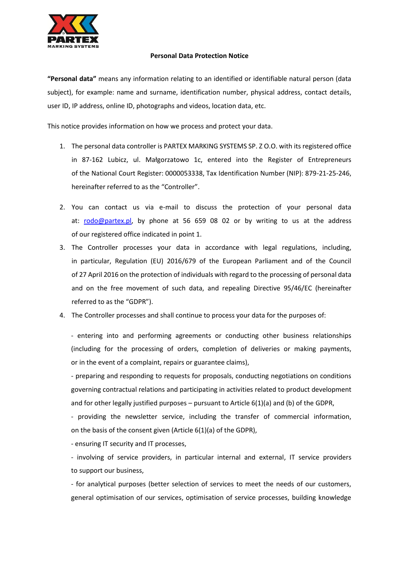

## **Personal Data Protection Notice**

**"Personal data"** means any information relating to an identified or identifiable natural person (data subject), for example: name and surname, identification number, physical address, contact details, user ID, IP address, online ID, photographs and videos, location data, etc.

This notice provides information on how we process and protect your data.

- 1. The personal data controller is PARTEX MARKING SYSTEMS SP. Z O.O. with its registered office in 87-162 Lubicz, ul. Małgorzatowo 1c, entered into the Register of Entrepreneurs of the National Court Register: 0000053338, Tax Identification Number (NIP): 879-21-25-246, hereinafter referred to as the "Controller".
- 2. You can contact us via e-mail to discuss the protection of your personal data at: [rodo@partex.pl,](mailto:rodo@partex.pl) by phone at 56 659 08 02 or by writing to us at the address of our registered office indicated in point 1.
- 3. The Controller processes your data in accordance with legal regulations, including, in particular, Regulation (EU) 2016/679 of the European Parliament and of the Council of 27 April 2016 on the protection of individuals with regard to the processing of personal data and on the free movement of such data, and repealing Directive 95/46/EC (hereinafter referred to as the "GDPR").
- 4. The Controller processes and shall continue to process your data for the purposes of:

- entering into and performing agreements or conducting other business relationships (including for the processing of orders, completion of deliveries or making payments, or in the event of a complaint, repairs or guarantee claims),

- preparing and responding to requests for proposals, conducting negotiations on conditions governing contractual relations and participating in activities related to product development and for other legally justified purposes – pursuant to Article  $6(1)(a)$  and (b) of the GDPR,

- providing the newsletter service, including the transfer of commercial information, on the basis of the consent given (Article 6(1)(a) of the GDPR),

- ensuring IT security and IT processes,

- involving of service providers, in particular internal and external, IT service providers to support our business,

- for analytical purposes (better selection of services to meet the needs of our customers, general optimisation of our services, optimisation of service processes, building knowledge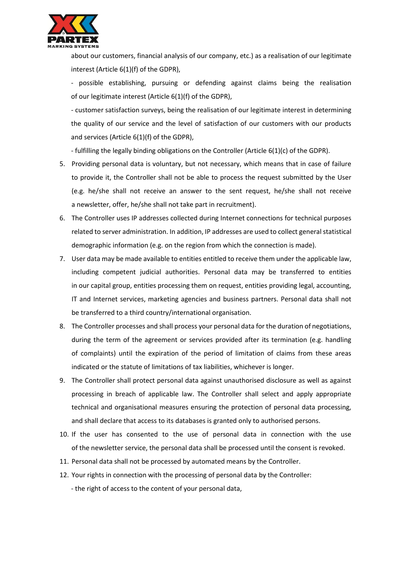

about our customers, financial analysis of our company, etc.) as a realisation of our legitimate interest (Article 6(1)(f) of the GDPR),

- possible establishing, pursuing or defending against claims being the realisation of our legitimate interest (Article 6(1)(f) of the GDPR),

- customer satisfaction surveys, being the realisation of our legitimate interest in determining the quality of our service and the level of satisfaction of our customers with our products and services (Article 6(1)(f) of the GDPR),

- fulfilling the legally binding obligations on the Controller (Article 6(1)(c) of the GDPR).

- 5. Providing personal data is voluntary, but not necessary, which means that in case of failure to provide it, the Controller shall not be able to process the request submitted by the User (e.g. he/she shall not receive an answer to the sent request, he/she shall not receive a newsletter, offer, he/she shall not take part in recruitment).
- 6. The Controller uses IP addresses collected during Internet connections for technical purposes related to server administration. In addition, IP addresses are used to collect general statistical demographic information (e.g. on the region from which the connection is made).
- 7. User data may be made available to entities entitled to receive them under the applicable law, including competent judicial authorities. Personal data may be transferred to entities in our capital group, entities processing them on request, entities providing legal, accounting, IT and Internet services, marketing agencies and business partners. Personal data shall not be transferred to a third country/international organisation.
- 8. The Controller processes and shall process your personal data for the duration of negotiations, during the term of the agreement or services provided after its termination (e.g. handling of complaints) until the expiration of the period of limitation of claims from these areas indicated or the statute of limitations of tax liabilities, whichever is longer.
- 9. The Controller shall protect personal data against unauthorised disclosure as well as against processing in breach of applicable law. The Controller shall select and apply appropriate technical and organisational measures ensuring the protection of personal data processing, and shall declare that access to its databases is granted only to authorised persons.
- 10. If the user has consented to the use of personal data in connection with the use of the newsletter service, the personal data shall be processed until the consent is revoked.
- 11. Personal data shall not be processed by automated means by the Controller.
- 12. Your rights in connection with the processing of personal data by the Controller:
	- the right of access to the content of your personal data,